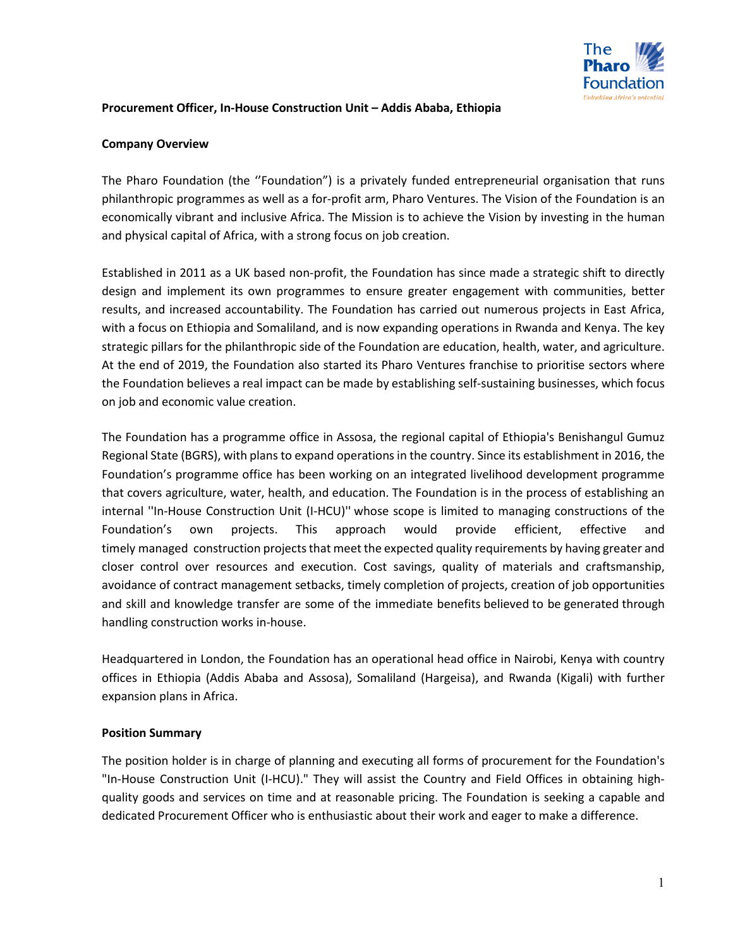

#### **Procurement Officer, In-House Construction Unit – Addis Ababa, Ethiopia**

#### **Company Overview**

The Pharo Foundation (the ''Foundation") is a privately funded entrepreneurial organisation that runs philanthropic programmes as well as a for-profit arm, Pharo Ventures. The Vision of the Foundation is an economically vibrant and inclusive Africa. The Mission is to achieve the Vision by investing in the human and physical capital of Africa, with a strong focus on job creation.

Established in 2011 as a UK based non-profit, the Foundation has since made a strategic shift to directly design and implement its own programmes to ensure greater engagement with communities, better results, and increased accountability. The Foundation has carried out numerous projects in East Africa, with a focus on Ethiopia and Somaliland, and is now expanding operations in Rwanda and Kenya. The key strategic pillars for the philanthropic side of the Foundation are education, health, water, and agriculture. At the end of 2019, the Foundation also started its Pharo Ventures franchise to prioritise sectors where the Foundation believes a real impact can be made by establishing self-sustaining businesses, which focus on job and economic value creation.

The Foundation has a programme office in Assosa, the regional capital of Ethiopia's Benishangul Gumuz Regional State (BGRS), with plans to expand operations in the country. Since its establishment in 2016, the Foundation's programme office has been working on an integrated livelihood development programme that covers agriculture, water, health, and education. The Foundation is in the process of establishing an internal ''In-House Construction Unit (I-HCU)'' whose scope is limited to managing constructions of the Foundation's own projects. This approach would provide efficient, effective and timely managed construction projects that meet the expected quality requirements by having greater and closer control over resources and execution. Cost savings, quality of materials and craftsmanship, avoidance of contract management setbacks, timely completion of projects, creation of job opportunities and skill and knowledge transfer are some of the immediate benefits believed to be generated through handling construction works in-house.

Headquartered in London, the Foundation has an operational head office in Nairobi, Kenya with country offices in Ethiopia (Addis Ababa and Assosa), Somaliland (Hargeisa), and Rwanda (Kigali) with further expansion plans in Africa.

#### **Position Summary**

The position holder is in charge of planning and executing all forms of procurement for the Foundation's "In-House Construction Unit (I-HCU)." They will assist the Country and Field Offices in obtaining highquality goods and services on time and at reasonable pricing. The Foundation is seeking a capable and dedicated Procurement Officer who is enthusiastic about their work and eager to make a difference.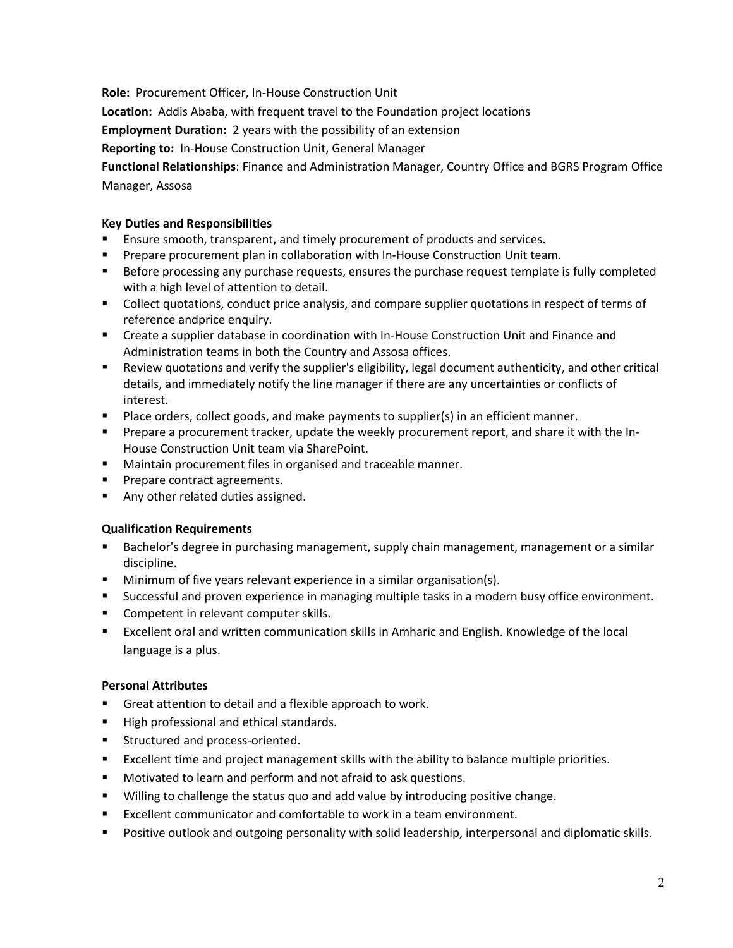**Role:** Procurement Officer, In-House Construction Unit

**Location:** Addis Ababa, with frequent travel to the Foundation project locations

**Employment Duration:** 2 years with the possibility of an extension

**Reporting to:** In-House Construction Unit, General Manager

**Functional Relationships**: Finance and Administration Manager, Country Office and BGRS Program Office Manager, Assosa

### **Key Duties and Responsibilities**

- Ensure smooth, transparent, and timely procurement of products and services.
- Prepare procurement plan in collaboration with In-House Construction Unit team.
- **Before processing any purchase requests, ensures the purchase request template is fully completed** with a high level of attention to detail.
- Collect quotations, conduct price analysis, and compare supplier quotations in respect of terms of reference andprice enquiry.
- **EXECT** Create a supplier database in coordination with In-House Construction Unit and Finance and Administration teams in both the Country and Assosa offices.
- Review quotations and verify the supplier's eligibility, legal document authenticity, and other critical details, and immediately notify the line manager if there are any uncertainties or conflicts of interest.
- Place orders, collect goods, and make payments to supplier(s) in an efficient manner.
- **Prepare a procurement tracker, update the weekly procurement report, and share it with the In-**House Construction Unit team via SharePoint.
- **Maintain procurement files in organised and traceable manner.**
- Prepare contract agreements.
- Any other related duties assigned.

## **Qualification Requirements**

- **Bachelor's degree in purchasing management, supply chain management, management or a similar** discipline.
- Minimum of five years relevant experience in a similar organisation(s).
- Successful and proven experience in managing multiple tasks in a modern busy office environment.
- Competent in relevant computer skills.
- Excellent oral and written communication skills in Amharic and English. Knowledge of the local language is a plus.

## **Personal Attributes**

- Great attention to detail and a flexible approach to work.
- High professional and ethical standards.
- **EXECUTED Structured and process-oriented.**
- Excellent time and project management skills with the ability to balance multiple priorities.
- **Motivated to learn and perform and not afraid to ask questions.**
- Willing to challenge the status quo and add value by introducing positive change.
- Excellent communicator and comfortable to work in a team environment.
- **Positive outlook and outgoing personality with solid leadership, interpersonal and diplomatic skills.**